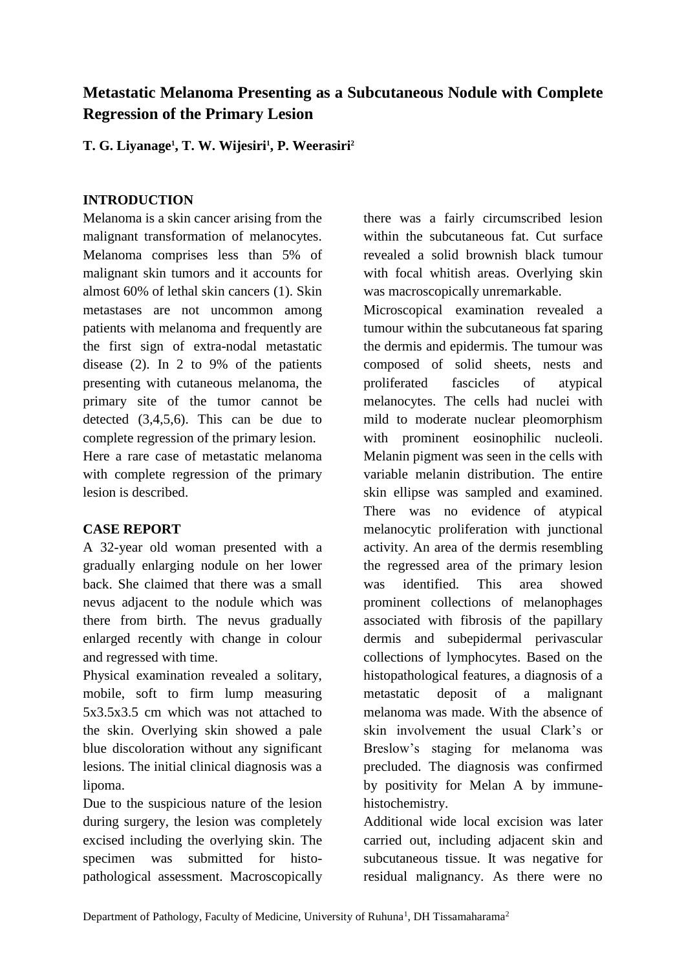# **Metastatic Melanoma Presenting as a Subcutaneous Nodule with Complete Regression of the Primary Lesion**

**T. G. Liyanage<sup>1</sup> , T. W. Wijesiri<sup>1</sup> , P. Weerasiri<sup>2</sup>**

## **INTRODUCTION**

Melanoma is a skin cancer arising from the malignant transformation of melanocytes. Melanoma comprises less than 5% of malignant skin tumors and it accounts for almost 60% of lethal skin cancers (1). Skin metastases are not uncommon among patients with melanoma and frequently are the first sign of extra-nodal metastatic disease (2). In 2 to 9% of the patients presenting with cutaneous melanoma, the primary site of the tumor cannot be detected (3,4,5,6). This can be due to complete regression of the primary lesion. Here a rare case of metastatic melanoma with complete regression of the primary lesion is described.

## **CASE REPORT**

A 32-year old woman presented with a gradually enlarging nodule on her lower back. She claimed that there was a small nevus adjacent to the nodule which was there from birth. The nevus gradually enlarged recently with change in colour and regressed with time.

Physical examination revealed a solitary, mobile, soft to firm lump measuring 5x3.5x3.5 cm which was not attached to the skin. Overlying skin showed a pale blue discoloration without any significant lesions. The initial clinical diagnosis was a lipoma.

Due to the suspicious nature of the lesion during surgery, the lesion was completely excised including the overlying skin. The specimen was submitted for histopathological assessment. Macroscopically there was a fairly circumscribed lesion within the subcutaneous fat. Cut surface revealed a solid brownish black tumour with focal whitish areas. Overlying skin was macroscopically unremarkable.

Microscopical examination revealed a tumour within the subcutaneous fat sparing the dermis and epidermis. The tumour was composed of solid sheets, nests and proliferated fascicles of atypical melanocytes. The cells had nuclei with mild to moderate nuclear pleomorphism with prominent eosinophilic nucleoli. Melanin pigment was seen in the cells with variable melanin distribution. The entire skin ellipse was sampled and examined. There was no evidence of atypical melanocytic proliferation with junctional activity. An area of the dermis resembling the regressed area of the primary lesion was identified. This area showed prominent collections of melanophages associated with fibrosis of the papillary dermis and subepidermal perivascular collections of lymphocytes. Based on the histopathological features, a diagnosis of a metastatic deposit of a malignant melanoma was made. With the absence of skin involvement the usual Clark's or Breslow's staging for melanoma was precluded. The diagnosis was confirmed by positivity for Melan A by immunehistochemistry.

Additional wide local excision was later carried out, including adjacent skin and subcutaneous tissue. It was negative for residual malignancy. As there were no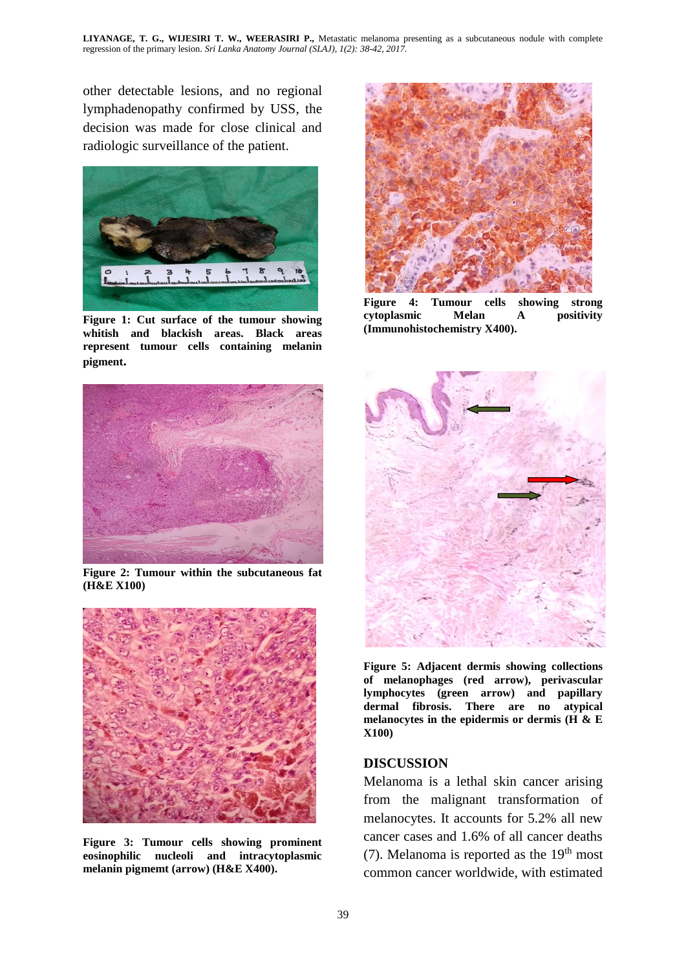other detectable lesions, and no regional lymphadenopathy confirmed by USS, the decision was made for close clinical and radiologic surveillance of the patient.



**Figure 1: Cut surface of the tumour showing whitish and blackish areas. Black areas represent tumour cells containing melanin pigment.**



**Figure 4: Tumour cells showing strong cytoplasmic Melan A positivity (Immunohistochemistry X400).**



**Figure 2: Tumour within the subcutaneous fat (H&E X100)** 



**Figure 3: Tumour cells showing prominent eosinophilic nucleoli and intracytoplasmic melanin pigmemt (arrow) (H&E X400).**



**Figure 5: Adjacent dermis showing collections of melanophages (red arrow), perivascular lymphocytes (green arrow) and papillary dermal fibrosis. There are no atypical melanocytes in the epidermis or dermis (H & E X100)**

#### **DISCUSSION**

Melanoma is a lethal skin cancer arising from the malignant transformation of melanocytes. It accounts for 5.2% all new cancer cases and 1.6% of all cancer deaths (7). Melanoma is reported as the  $19<sup>th</sup>$  most common cancer worldwide, with estimated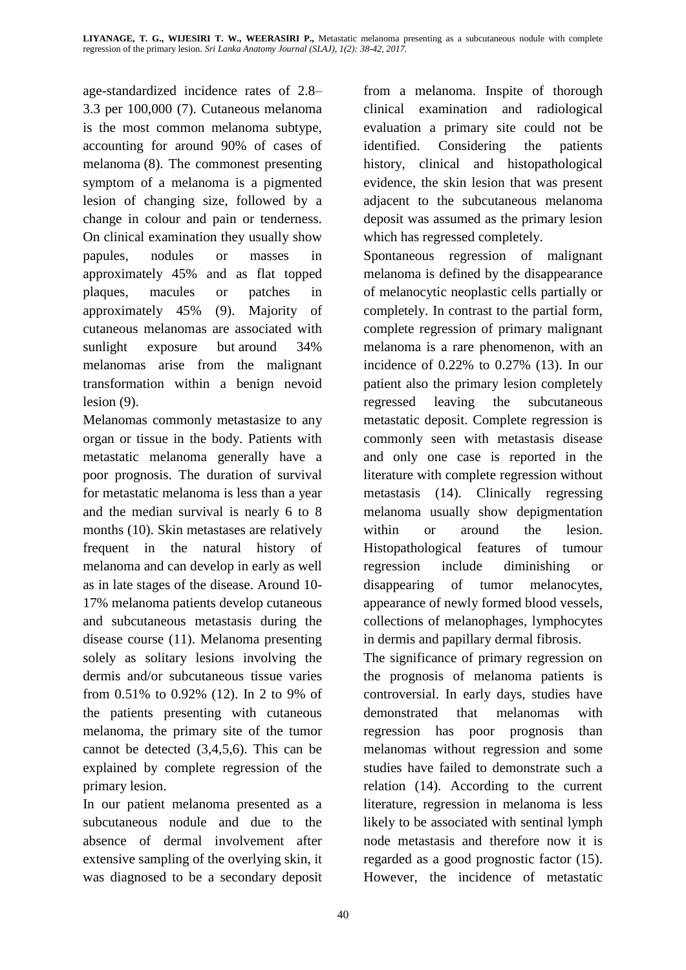age-standardized incidence rates of 2.8– 3.3 per 100,000 (7). Cutaneous melanoma is the most common melanoma subtype, accounting for around 90% of cases of melanoma (8). The commonest presenting symptom of a melanoma is a pigmented lesion of changing size, followed by a change in colour and pain or tenderness. On clinical examination they usually show papules, nodules or masses in approximately 45% and as flat topped plaques, macules or patches in approximately 45% (9). Majority of cutaneous melanomas are associated with sunlight exposure but around 34% melanomas arise from the malignant transformation within a benign nevoid lesion (9).

Melanomas commonly metastasize to any organ or tissue in the body. Patients with metastatic melanoma generally have a poor prognosis. The duration of survival for metastatic melanoma is less than a year and the median survival is nearly 6 to 8 months (10). Skin metastases are relatively frequent in the natural history of melanoma and can develop in early as well as in late stages of the disease. Around 10- 17% melanoma patients develop cutaneous and subcutaneous metastasis during the disease course (11). Melanoma presenting solely as solitary lesions involving the dermis and/or subcutaneous tissue varies from 0.51% to 0.92% (12). In 2 to 9% of the patients presenting with cutaneous melanoma, the primary site of the tumor cannot be detected (3,4,5,6). This can be explained by complete regression of the primary lesion.

In our patient melanoma presented as a subcutaneous nodule and due to the absence of dermal involvement after extensive sampling of the overlying skin, it was diagnosed to be a secondary deposit from a melanoma. Inspite of thorough clinical examination and radiological evaluation a primary site could not be identified. Considering the patients history, clinical and histopathological evidence, the skin lesion that was present adjacent to the subcutaneous melanoma deposit was assumed as the primary lesion which has regressed completely.

Spontaneous regression of malignant melanoma is defined by the disappearance of melanocytic neoplastic cells partially or completely. In contrast to the partial form, complete regression of primary malignant melanoma is a rare phenomenon, with an incidence of 0.22% to 0.27% (13). In our patient also the primary lesion completely regressed leaving the subcutaneous metastatic deposit. Complete regression is commonly seen with metastasis disease and only one case is reported in the literature with complete regression without metastasis (14). Clinically regressing melanoma usually show depigmentation within or around the lesion. Histopathological features of tumour regression include diminishing or disappearing of tumor melanocytes, appearance of newly formed blood vessels, collections of melanophages, lymphocytes in dermis and papillary dermal fibrosis.

The significance of primary regression on the prognosis of melanoma patients is controversial. In early days, studies have demonstrated that melanomas with regression has poor prognosis than melanomas without regression and some studies have failed to demonstrate such a relation (14). According to the current literature, regression in melanoma is less likely to be associated with sentinal lymph node metastasis and therefore now it is regarded as a good prognostic factor (15). However, the incidence of metastatic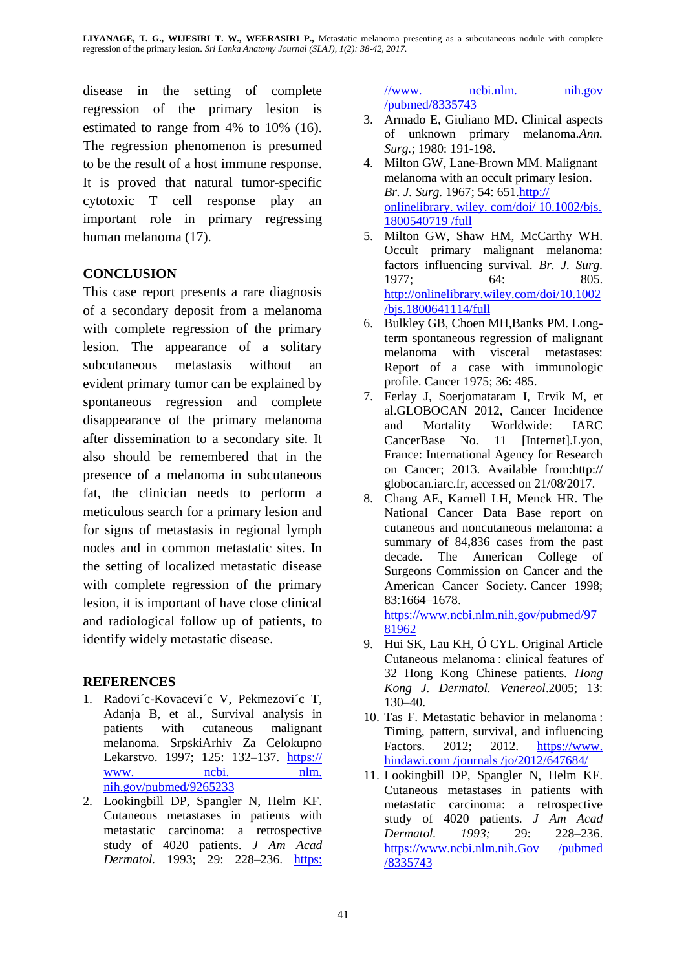**LIYANAGE, T. G., WIJESIRI T. W., WEERASIRI P.,** Metastatic melanoma presenting as a subcutaneous nodule with complete regression of the primary lesion. *Sri Lanka Anatomy Journal (SLAJ), 1(2): 38-42, 2017.*

disease in the setting of complete regression of the primary lesion is estimated to range from 4% to 10% (16). The regression phenomenon is presumed to be the result of a host immune response. It is proved that natural tumor-specific cytotoxic T cell response play an important role in primary regressing human melanoma (17).

### **CONCLUSION**

This case report presents a rare diagnosis of a secondary deposit from a melanoma with complete regression of the primary lesion. The appearance of a solitary subcutaneous metastasis without an evident primary tumor can be explained by spontaneous regression and complete disappearance of the primary melanoma after dissemination to a secondary site. It also should be remembered that in the presence of a melanoma in subcutaneous fat, the clinician needs to perform a meticulous search for a primary lesion and for signs of metastasis in regional lymph nodes and in common metastatic sites. In the setting of localized metastatic disease with complete regression of the primary lesion, it is important of have close clinical and radiological follow up of patients, to identify widely metastatic disease.

#### **REFERENCES**

- 1. Radovi´c-Kovacevi´c V, Pekmezovi´c T, Adanja B, et al., Survival analysis in patients with cutaneous malignant melanoma. SrpskiArhiv Za Celokupno Lekarstvo. 1997; 125: 132–137. https:// www. ncbi. nlm. nih.gov/pubmed/9265233
- 2. Lookingbill DP, Spangler N, Helm KF. Cutaneous metastases in patients with metastatic carcinoma: a retrospective study of 4020 patients. *J Am Acad Dermatol.* 1993; 29: 228–236. [https:](https://www.ncbi.nlm.nih.gov/pubmed/8335743)

 $//www.$  [ncbi.nlm.](https://www.ncbi.nlm.nih.gov/pubmed/8335743) nih.gov [/pubmed/8335743](https://www.ncbi.nlm.nih.gov/pubmed/8335743)

- 3. Armado E, Giuliano MD. Clinical aspects of unknown primary melanoma.*Ann. Surg.*; 1980: 191-198.
- 4. Milton GW, Lane-Brown MM. Malignant melanoma with an occult primary lesion. *Br. J. Surg.* 1967; 54: 651.http:// onlinelibrary. wiley. com/doi/ 10.1002/bjs. 1800540719 /full
- 5. Milton GW, Shaw HM, McCarthy WH. Occult primary malignant melanoma: factors influencing survival. *Br. J. Surg.* 1977; 64: 805. [http://onlinelibrary.wiley.com/doi/10.1002](http://onlinelibrary.wiley.com/doi/10.1002/bjs.1800641114/full) [/bjs.1800641114/full](http://onlinelibrary.wiley.com/doi/10.1002/bjs.1800641114/full)
- 6. Bulkley GB, Choen MH,Banks PM. Longterm spontaneous regression of malignant melanoma with visceral metastases: Report of a case with immunologic profile. Cancer 1975; 36: 485.
- 7. Ferlay J, Soerjomataram I, Ervik M, et al.GLOBOCAN 2012, Cancer Incidence and Mortality Worldwide: IARC CancerBase No. 11 [Internet].Lyon, France: International Agency for Research on Cancer; 2013. Available from:http:// globocan.iarc.fr, accessed on 21/08/2017.
- 8. Chang AE, Karnell LH, Menck HR. The National Cancer Data Base report on cutaneous and noncutaneous melanoma: a summary of 84,836 cases from the past decade. The American College of Surgeons Commission on Cancer and the American Cancer Society. Cancer 1998; 83:1664–1678.

[https://www.ncbi.nlm.nih.gov/pubmed/97](https://www.ncbi.nlm.nih.gov/pubmed/9781962) [81962](https://www.ncbi.nlm.nih.gov/pubmed/9781962)

- 9. Hui SK, Lau KH, Ó CYL. Original Article Cutaneous melanoma : clinical features of 32 Hong Kong Chinese patients. *Hong Kong J. Dermatol. Venereol*.2005; 13: 130–40.
- 10. Tas F. Metastatic behavior in melanoma : Timing, pattern, survival, and influencing Factors. 2012; 2012. https://www. hindawi.com /journals /jo/2012/647684/
- 11. Lookingbill DP, Spangler N, Helm KF. Cutaneous metastases in patients with metastatic carcinoma: a retrospective study of 4020 patients. *J Am Acad Dermatol. 1993;* 29: 228–236. https://www.ncbi.nlm.nih.Gov /pubmed /8335743